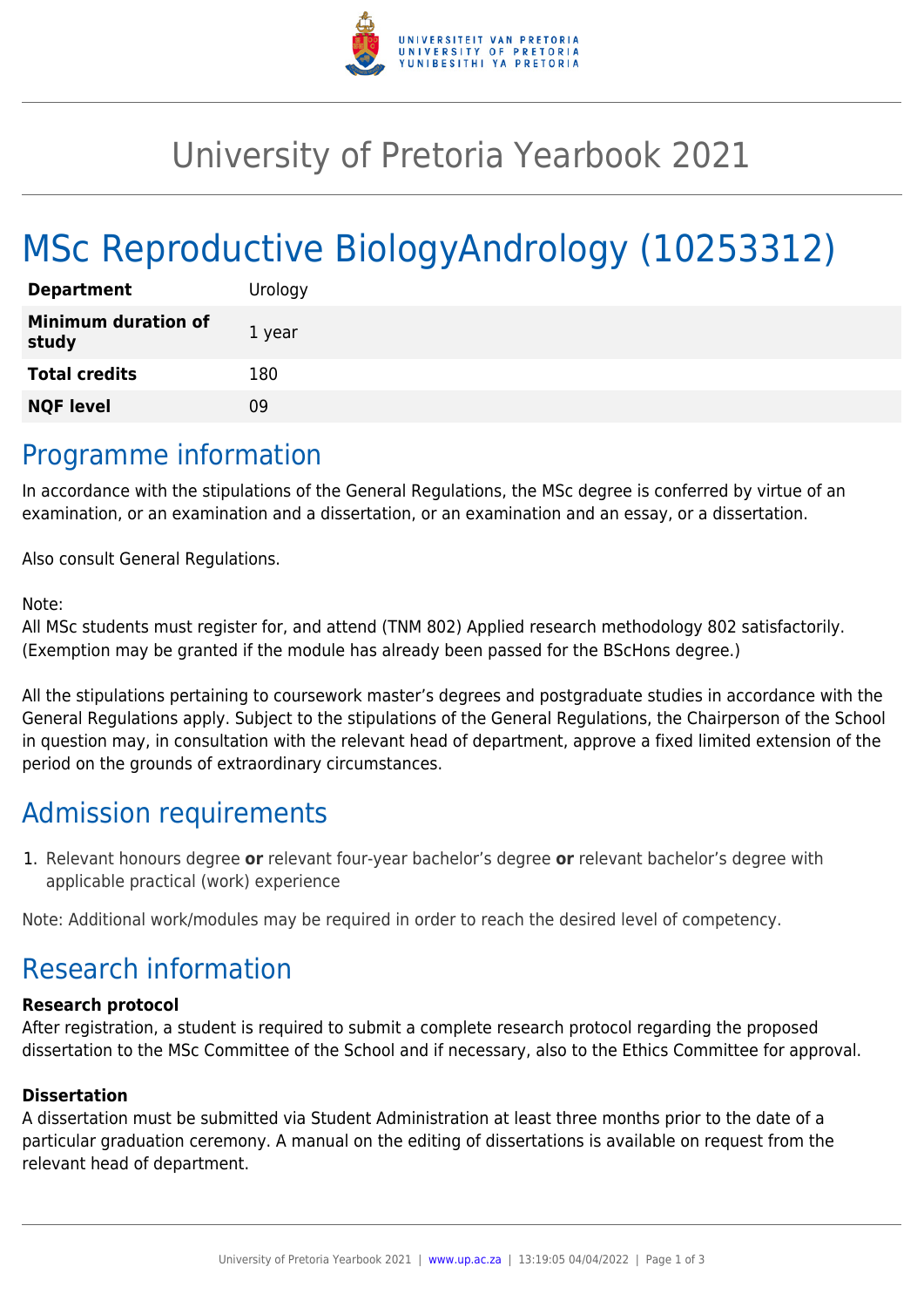

## University of Pretoria Yearbook 2021

# MSc Reproductive BiologyAndrology (10253312)

| <b>Department</b>                   | Urology |
|-------------------------------------|---------|
| <b>Minimum duration of</b><br>study | 1 year  |
| <b>Total credits</b>                | 180     |
| <b>NQF level</b>                    | ng      |

### Programme information

In accordance with the stipulations of the General Regulations, the MSc degree is conferred by virtue of an examination, or an examination and a dissertation, or an examination and an essay, or a dissertation.

Also consult General Regulations.

#### Note:

All MSc students must register for, and attend (TNM 802) Applied research methodology 802 satisfactorily. (Exemption may be granted if the module has already been passed for the BScHons degree.)

All the stipulations pertaining to coursework master's degrees and postgraduate studies in accordance with the General Regulations apply. Subject to the stipulations of the General Regulations, the Chairperson of the School in question may, in consultation with the relevant head of department, approve a fixed limited extension of the period on the grounds of extraordinary circumstances.

## Admission requirements

1. Relevant honours degree **or** relevant four-year bachelor's degree **or** relevant bachelor's degree with applicable practical (work) experience

Note: Additional work/modules may be required in order to reach the desired level of competency.

## Research information

#### **Research protocol**

After registration, a student is required to submit a complete research protocol regarding the proposed dissertation to the MSc Committee of the School and if necessary, also to the Ethics Committee for approval.

#### **Dissertation**

A dissertation must be submitted via Student Administration at least three months prior to the date of a particular graduation ceremony. A manual on the editing of dissertations is available on request from the relevant head of department.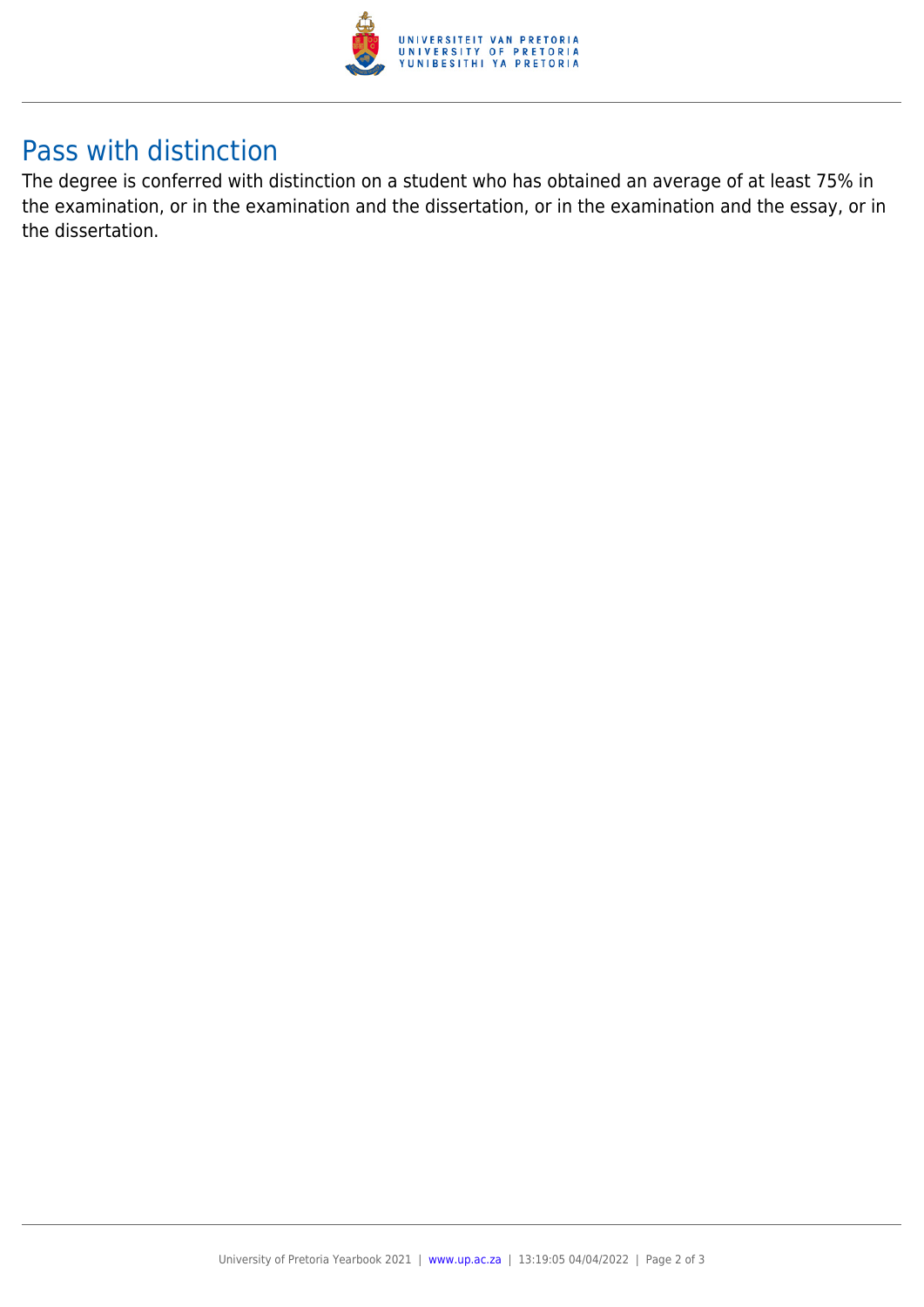

## Pass with distinction

The degree is conferred with distinction on a student who has obtained an average of at least 75% in the examination, or in the examination and the dissertation, or in the examination and the essay, or in the dissertation.